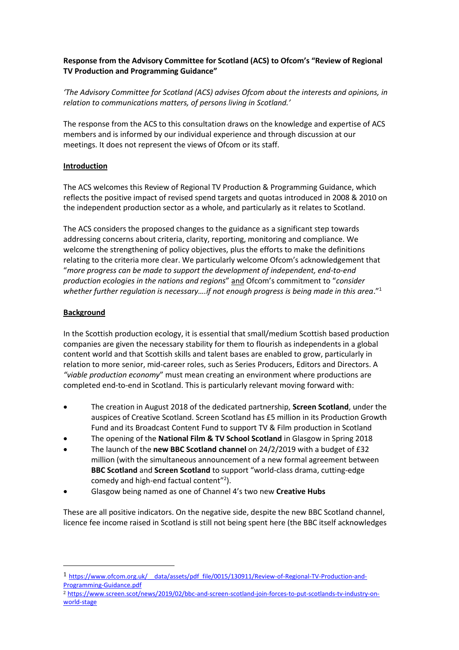# **Response from the Advisory Committee for Scotland (ACS) to Ofcom's "Review of Regional TV Production and Programming Guidance"**

*'The Advisory Committee for Scotland (ACS) advises Ofcom about the interests and opinions, in relation to communications matters, of persons living in Scotland.'* 

The response from the ACS to this consultation draws on the knowledge and expertise of ACS members and is informed by our individual experience and through discussion at our meetings. It does not represent the views of Ofcom or its staff.

### **Introduction**

The ACS welcomes this Review of Regional TV Production & Programming Guidance, which reflects the positive impact of revised spend targets and quotas introduced in 2008 & 2010 on the independent production sector as a whole, and particularly as it relates to Scotland.

The ACS considers the proposed changes to the guidance as a significant step towards addressing concerns about criteria, clarity, reporting, monitoring and compliance. We welcome the strengthening of policy objectives, plus the efforts to make the definitions relating to the criteria more clear. We particularly welcome Ofcom's acknowledgement that "*more progress can be made to support the development of independent, end-to-end production ecologies in the nations and regions*" and Ofcom's commitment to "*consider whether further regulation is necessary….if not enough progress is being made in this area*."<sup>1</sup>

### **Background**

 $\overline{a}$ 

In the Scottish production ecology, it is essential that small/medium Scottish based production companies are given the necessary stability for them to flourish as independents in a global content world and that Scottish skills and talent bases are enabled to grow, particularly in relation to more senior, mid-career roles, such as Series Producers, Editors and Directors. A *"viable production economy*" must mean creating an environment where productions are completed end-to-end in Scotland. This is particularly relevant moving forward with:

- The creation in August 2018 of the dedicated partnership, **Screen Scotland**, under the auspices of Creative Scotland. Screen Scotland has £5 million in its Production Growth Fund and its Broadcast Content Fund to support TV & Film production in Scotland
- The opening of the **National Film & TV School Scotland** in Glasgow in Spring 2018
- The launch of the **new BBC Scotland channel** on 24/2/2019 with a budget of £32 million (with the simultaneous announcement of a new formal agreement between **BBC Scotland** and **Screen Scotland** to support "world-class drama, cutting-edge comedy and high-end factual content"<sup>2</sup>).
- Glasgow being named as one of Channel 4's two new **Creative Hubs**

These are all positive indicators. On the negative side, despite the new BBC Scotland channel, licence fee income raised in Scotland is still not being spent here (the BBC itself acknowledges

<sup>1</sup> [https://www.ofcom.org.uk/\\_\\_data/assets/pdf\\_file/0015/130911/Review-of-Regional-TV-Production-and-](https://www.ofcom.org.uk/__data/assets/pdf_file/0015/130911/Review-of-Regional-TV-Production-and-Programming-Guidance.pdf)[Programming-Guidance.pdf](https://www.ofcom.org.uk/__data/assets/pdf_file/0015/130911/Review-of-Regional-TV-Production-and-Programming-Guidance.pdf)

<sup>2</sup> [https://www.screen.scot/news/2019/02/bbc-and-screen-scotland-join-forces-to-put-scotlands-tv-industry-on](https://www.screen.scot/news/2019/02/bbc-and-screen-scotland-join-forces-to-put-scotlands-tv-industry-on-world-stage)[world-stage](https://www.screen.scot/news/2019/02/bbc-and-screen-scotland-join-forces-to-put-scotlands-tv-industry-on-world-stage)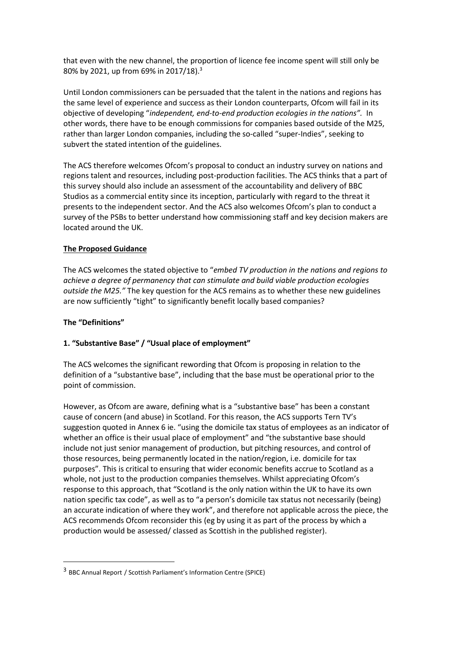that even with the new channel, the proportion of licence fee income spent will still only be 80% by 2021, up from 69% in 2017/18).<sup>3</sup>

Until London commissioners can be persuaded that the talent in the nations and regions has the same level of experience and success as their London counterparts, Ofcom will fail in its objective of developing "*independent, end-to-end production ecologies in the nations".* In other words, there have to be enough commissions for companies based outside of the M25, rather than larger London companies, including the so-called "super-Indies", seeking to subvert the stated intention of the guidelines.

The ACS therefore welcomes Ofcom's proposal to conduct an industry survey on nations and regions talent and resources, including post-production facilities. The ACS thinks that a part of this survey should also include an assessment of the accountability and delivery of BBC Studios as a commercial entity since its inception, particularly with regard to the threat it presents to the independent sector. And the ACS also welcomes Ofcom's plan to conduct a survey of the PSBs to better understand how commissioning staff and key decision makers are located around the UK.

### **The Proposed Guidance**

The ACS welcomes the stated objective to "*embed TV production in the nations and regions to achieve a degree of permanency that can stimulate and build viable production ecologies outside the M25."* The key question for the ACS remains as to whether these new guidelines are now sufficiently "tight" to significantly benefit locally based companies?

### **The "Definitions"**

 $\overline{a}$ 

## **1. "Substantive Base" / "Usual place of employment"**

The ACS welcomes the significant rewording that Ofcom is proposing in relation to the definition of a "substantive base", including that the base must be operational prior to the point of commission.

However, as Ofcom are aware, defining what is a "substantive base" has been a constant cause of concern (and abuse) in Scotland. For this reason, the ACS supports Tern TV's suggestion quoted in Annex 6 ie. "using the domicile tax status of employees as an indicator of whether an office is their usual place of employment" and "the substantive base should include not just senior management of production, but pitching resources, and control of those resources, being permanently located in the nation/region, i.e. domicile for tax purposes". This is critical to ensuring that wider economic benefits accrue to Scotland as a whole, not just to the production companies themselves. Whilst appreciating Ofcom's response to this approach, that "Scotland is the only nation within the UK to have its own nation specific tax code", as well as to "a person's domicile tax status not necessarily (being) an accurate indication of where they work", and therefore not applicable across the piece, the ACS recommends Ofcom reconsider this (eg by using it as part of the process by which a production would be assessed/ classed as Scottish in the published register).

<sup>3</sup> BBC Annual Report / Scottish Parliament's Information Centre (SPICE)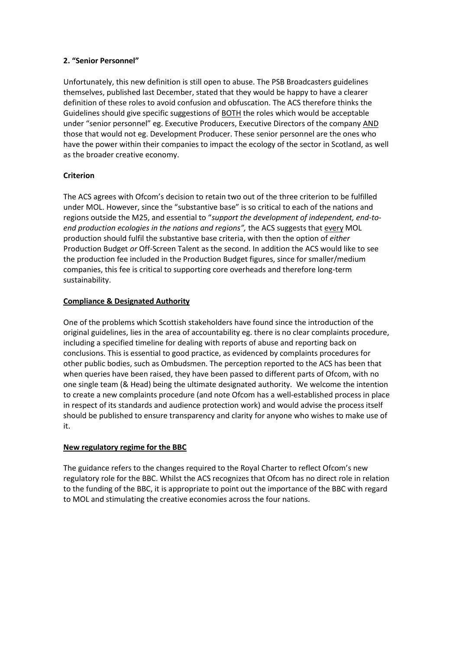#### **2. "Senior Personnel"**

Unfortunately, this new definition is still open to abuse. The PSB Broadcasters guidelines themselves, published last December, stated that they would be happy to have a clearer definition of these roles to avoid confusion and obfuscation. The ACS therefore thinks the Guidelines should give specific suggestions of BOTH the roles which would be acceptable under "senior personnel" eg. Executive Producers, Executive Directors of the company AND those that would not eg. Development Producer. These senior personnel are the ones who have the power within their companies to impact the ecology of the sector in Scotland, as well as the broader creative economy.

## **Criterion**

The ACS agrees with Ofcom's decision to retain two out of the three criterion to be fulfilled under MOL. However, since the "substantive base" is so critical to each of the nations and regions outside the M25, and essential to "*support the development of independent, end-toend production ecologies in the nations and regions<sup><i>"*</sup>, the ACS suggests that every MOL production should fulfil the substantive base criteria, with then the option of *either* Production Budget *or* Off-Screen Talent as the second. In addition the ACS would like to see the production fee included in the Production Budget figures, since for smaller/medium companies, this fee is critical to supporting core overheads and therefore long-term sustainability.

## **Compliance & Designated Authority**

One of the problems which Scottish stakeholders have found since the introduction of the original guidelines, lies in the area of accountability eg. there is no clear complaints procedure, including a specified timeline for dealing with reports of abuse and reporting back on conclusions. This is essential to good practice, as evidenced by complaints procedures for other public bodies, such as Ombudsmen. The perception reported to the ACS has been that when queries have been raised, they have been passed to different parts of Ofcom, with no one single team (& Head) being the ultimate designated authority. We welcome the intention to create a new complaints procedure (and note Ofcom has a well-established process in place in respect of its standards and audience protection work) and would advise the process itself should be published to ensure transparency and clarity for anyone who wishes to make use of it.

## **New regulatory regime for the BBC**

The guidance refers to the changes required to the Royal Charter to reflect Ofcom's new regulatory role for the BBC. Whilst the ACS recognizes that Ofcom has no direct role in relation to the funding of the BBC, it is appropriate to point out the importance of the BBC with regard to MOL and stimulating the creative economies across the four nations.